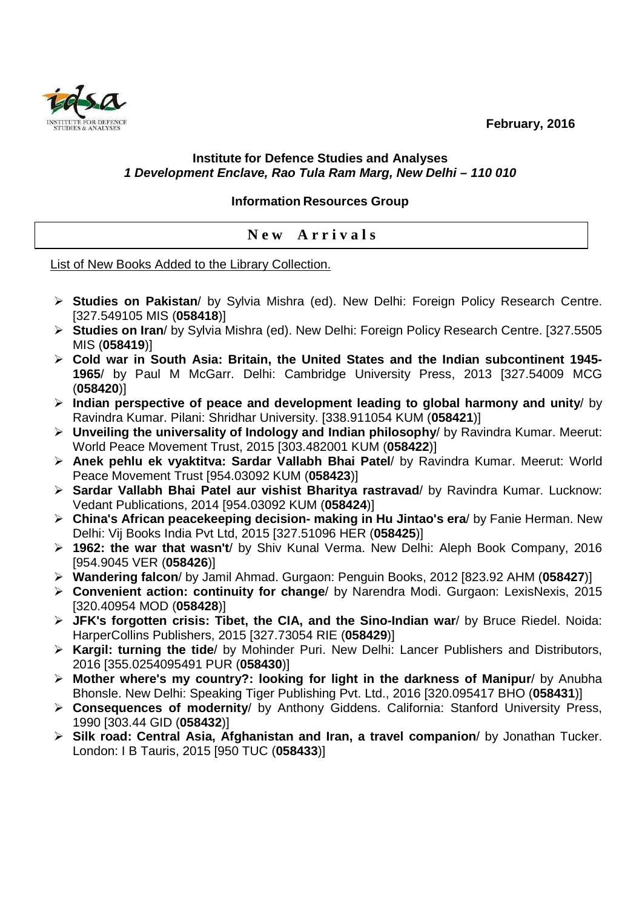**February, 2016** 



## **Institute for Defence Studies and Analyses 1 Development Enclave, Rao Tula Ram Marg, New Delhi – 110 010**

## **Information Resources Group**

## **N e w A r r i v a l s**

List of New Books Added to the Library Collection.

- **Studies on Pakistan**/ by Sylvia Mishra (ed). New Delhi: Foreign Policy Research Centre. [327.549105 MIS (**058418**)]
- **Studies on Iran**/ by Sylvia Mishra (ed). New Delhi: Foreign Policy Research Centre. [327.5505 MIS (**058419**)]
- **Cold war in South Asia: Britain, the United States and the Indian subcontinent 1945- 1965**/ by Paul M McGarr. Delhi: Cambridge University Press, 2013 [327.54009 MCG (**058420**)]
- **Indian perspective of peace and development leading to global harmony and unity**/ by Ravindra Kumar. Pilani: Shridhar University. [338.911054 KUM (**058421**)]
- **Unveiling the universality of Indology and Indian philosophy**/ by Ravindra Kumar. Meerut: World Peace Movement Trust, 2015 [303.482001 KUM (**058422**)]
- **Anek pehlu ek vyaktitva: Sardar Vallabh Bhai Patel**/ by Ravindra Kumar. Meerut: World Peace Movement Trust [954.03092 KUM (**058423**)]
- **Sardar Vallabh Bhai Patel aur vishist Bharitya rastravad**/ by Ravindra Kumar. Lucknow: Vedant Publications, 2014 [954.03092 KUM (**058424**)]
- **China's African peacekeeping decision- making in Hu Jintao's era**/ by Fanie Herman. New Delhi: Vij Books India Pvt Ltd, 2015 [327.51096 HER (**058425**)]
- **1962: the war that wasn't**/ by Shiv Kunal Verma. New Delhi: Aleph Book Company, 2016 [954.9045 VER (**058426**)]
- **Wandering falcon**/ by Jamil Ahmad. Gurgaon: Penguin Books, 2012 [823.92 AHM (**058427**)]
- **Convenient action: continuity for change**/ by Narendra Modi. Gurgaon: LexisNexis, 2015 [320.40954 MOD (**058428**)]
- **JFK's forgotten crisis: Tibet, the CIA, and the Sino-Indian war**/ by Bruce Riedel. Noida: HarperCollins Publishers, 2015 [327.73054 RIE (**058429**)]
- **Kargil: turning the tide**/ by Mohinder Puri. New Delhi: Lancer Publishers and Distributors, 2016 [355.0254095491 PUR (**058430**)]
- **Mother where's my country?: looking for light in the darkness of Manipur**/ by Anubha Bhonsle. New Delhi: Speaking Tiger Publishing Pvt. Ltd., 2016 [320.095417 BHO (**058431**)]
- **Consequences of modernity**/ by Anthony Giddens. California: Stanford University Press, 1990 [303.44 GID (**058432**)]
- **Silk road: Central Asia, Afghanistan and Iran, a travel companion**/ by Jonathan Tucker. London: I B Tauris, 2015 [950 TUC (**058433**)]